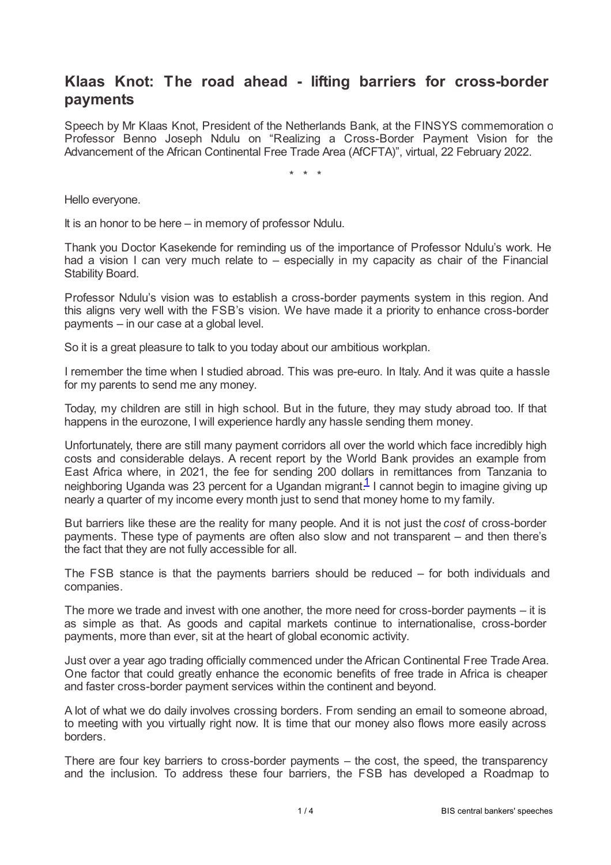## **Klaas Knot: The road ahead - lifting barriers for cross-border payments**

Speech by Mr Klaas Knot, President of the Netherlands Bank, at the FINSYS commemoration of Professor Benno Joseph Ndulu on "Realizing a Cross-Border Payment Vision for the Advancement of the African Continental Free Trade Area (AfCFTA)", virtual, 22 February 2022.

\* \* \*

Hello everyone.

It is an honor to be here – in memory of professor Ndulu.

Thank you Doctor Kasekende for reminding us of the importance of Professor Ndulu's work. He had a vision I can very much relate to – especially in my capacity as chair of the Financial Stability Board.

Professor Ndulu's vision was to establish a cross-border payments system in this region. And this aligns very well with the FSB's vision. We have made it a priority to enhance cross-border payments – in our case at a global level.

So it is a great pleasure to talk to you today about our ambitious workplan.

I remember the time when I studied abroad. This was pre-euro. In Italy. And it was quite a hassle for my parents to send me any money.

Today, my children are still in high school. But in the future, they may study abroad too. If that happens in the eurozone, I will experience hardly any hassle sending them money.

Unfortunately, there are still many payment corridors all over the world which face incredibly high costs and considerable delays. A recent report by the World Bank provides an example from East Africa where, in 2021, the fee for sending 200 dollars in remittances from Tanzania to neighboring Uganda was 23 percent for a Ugandan migrant.<sup>[1](#page-3-0)</sup> I cannot begin to imagine giving up nearly a quarter of my income every month just to send that money home to my family.

<span id="page-0-0"></span>But barriers like these are the reality for many people. And it is not just the *cost* of cross-border payments. These type of payments are often also slow and not transparent – and then there's the fact that they are not fully accessible for all.

The FSB stance is that the payments barriers should be reduced – for both individuals and companies.

The more we trade and invest with one another, the more need for cross-border payments – it is as simple as that. As goods and capital markets continue to internationalise, cross-border payments, more than ever, sit at the heart of global economic activity.

Just over a year ago trading officially commenced under the African Continental Free Trade Area. One factor that could greatly enhance the economic benefits of free trade in Africa is cheaper and faster cross-border payment services within the continent and beyond.

A lot of what we do daily involves crossing borders. From sending an email to someone abroad, to meeting with you virtually right now. It is time that our money also flows more easily across borders.

There are four key barriers to cross-border payments – the cost, the speed, the transparency and the inclusion. To address these four barriers, the FSB has developed a Roadmap to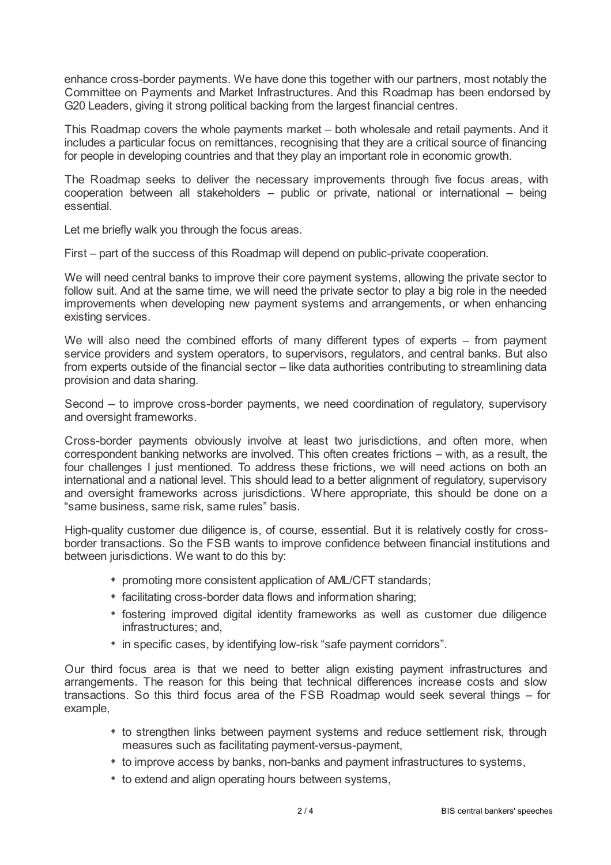enhance cross-border payments. We have done this together with our partners, most notably the Committee on Payments and Market Infrastructures. And this Roadmap has been endorsed by G20 Leaders, giving it strong political backing from the largest financial centres.

This Roadmap covers the whole payments market – both wholesale and retail payments. And it includes a particular focus on remittances, recognising that they are a critical source of financing for people in developing countries and that they play an important role in economic growth.

The Roadmap seeks to deliver the necessary improvements through five focus areas, with cooperation between all stakeholders – public or private, national or international – being essential.

Let me briefly walk you through the focus areas.

First – part of the success of this Roadmap will depend on public-private cooperation.

We will need central banks to improve their core payment systems, allowing the private sector to follow suit. And at the same time, we will need the private sector to play a big role in the needed improvements when developing new payment systems and arrangements, or when enhancing existing services.

We will also need the combined efforts of many different types of experts – from payment service providers and system operators, to supervisors, regulators, and central banks. But also from experts outside of the financial sector – like data authorities contributing to streamlining data provision and data sharing.

Second – to improve cross-border payments, we need coordination of regulatory, supervisory and oversight frameworks.

Cross-border payments obviously involve at least two jurisdictions, and often more, when correspondent banking networks are involved. This often creates frictions – with, as a result, the four challenges I just mentioned. To address these frictions, we will need actions on both an international and a national level. This should lead to a better alignment of regulatory, supervisory and oversight frameworks across jurisdictions. Where appropriate, this should be done on a "same business, same risk, same rules" basis.

High-quality customer due diligence is, of course, essential. But it is relatively costly for crossborder transactions. So the FSB wants to improve confidence between financial institutions and between jurisdictions. We want to do this by:

- promoting more consistent application of AML/CFT standards;
- facilitating cross-border data flows and information sharing;
- fostering improved digital identity frameworks as well as customer due diligence infrastructures; and,
- \* in specific cases, by identifying low-risk "safe payment corridors".

Our third focus area is that we need to better align existing payment infrastructures and arrangements. The reason for this being that technical differences increase costs and slow transactions. So this third focus area of the FSB Roadmap would seek several things – for example,

- to strengthen links between payment systems and reduce settlement risk, through measures such as facilitating payment-versus-payment,
- to improve access by banks, non-banks and payment infrastructures to systems,
- $*$  to extend and align operating hours between systems,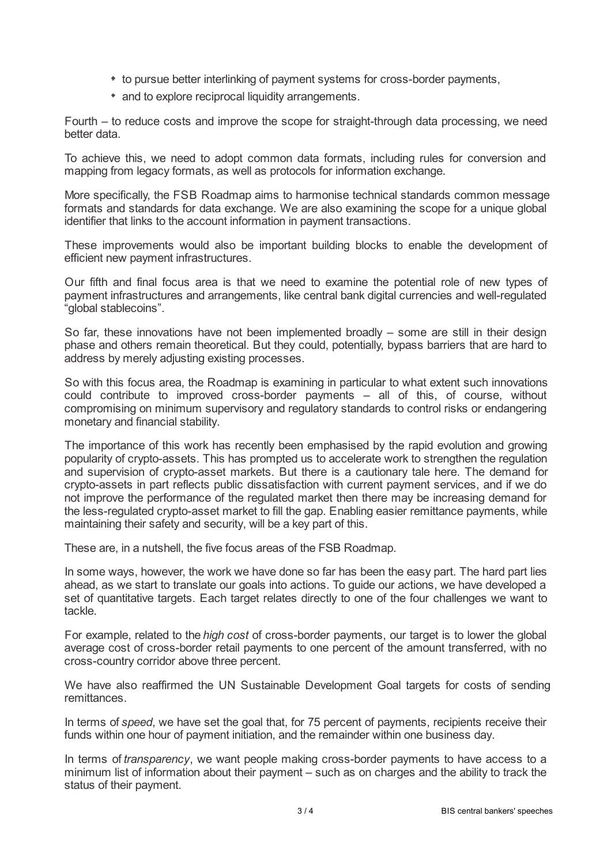- \* to pursue better interlinking of payment systems for cross-border payments,
- and to explore reciprocal liquidity arrangements.

Fourth – to reduce costs and improve the scope for straight-through data processing, we need better data.

To achieve this, we need to adopt common data formats, including rules for conversion and mapping from legacy formats, as well as protocols for information exchange.

More specifically, the FSB Roadmap aims to harmonise technical standards common message formats and standards for data exchange. We are also examining the scope for a unique global identifier that links to the account information in payment transactions.

These improvements would also be important building blocks to enable the development of efficient new payment infrastructures.

Our fifth and final focus area is that we need to examine the potential role of new types of payment infrastructures and arrangements, like central bank digital currencies and well-regulated "global stablecoins".

So far, these innovations have not been implemented broadly – some are still in their design phase and others remain theoretical. But they could, potentially, bypass barriers that are hard to address by merely adjusting existing processes.

So with this focus area, the Roadmap is examining in particular to what extent such innovations could contribute to improved cross-border payments – all of this, of course, without compromising on minimum supervisory and regulatory standards to control risks or endangering monetary and financial stability.

The importance of this work has recently been emphasised by the rapid evolution and growing popularity of crypto-assets. This has prompted us to accelerate work to strengthen the regulation and supervision of crypto-asset markets. But there is a cautionary tale here. The demand for crypto-assets in part reflects public dissatisfaction with current payment services, and if we do not improve the performance of the regulated market then there may be increasing demand for the less-regulated crypto-asset market to fill the gap. Enabling easier remittance payments, while maintaining their safety and security, will be a key part of this.

These are, in a nutshell, the five focus areas of the FSB Roadmap.

In some ways, however, the work we have done so far has been the easy part. The hard part lies ahead, as we start to translate our goals into actions. To guide our actions, we have developed a set of quantitative targets. Each target relates directly to one of the four challenges we want to tackle.

For example, related to the *high cost* of cross-border payments, our target is to lower the global average cost of cross-border retail payments to one percent of the amount transferred, with no cross-country corridor above three percent.

We have also reaffirmed the UN Sustainable Development Goal targets for costs of sending remittances.

In terms of *speed*, we have set the goal that, for 75 percent of payments, recipients receive their funds within one hour of payment initiation, and the remainder within one business day.

In terms of *transparency*, we want people making cross-border payments to have access to a minimum list of information about their payment – such as on charges and the ability to track the status of their payment.